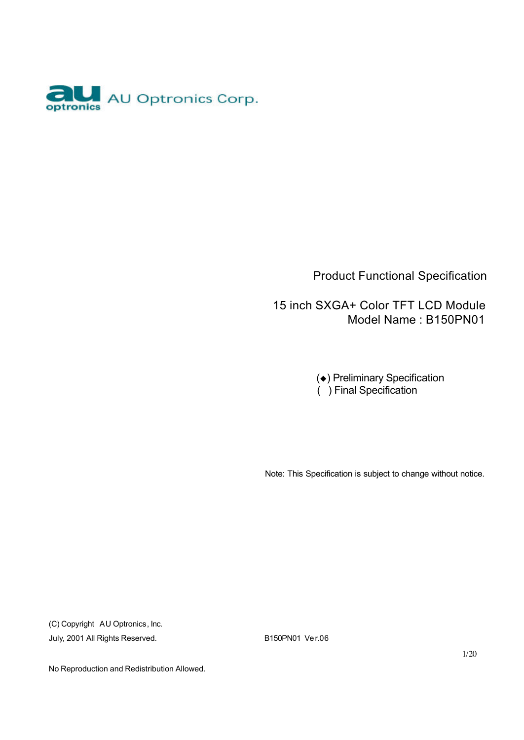

Product Functional Specification

 15 inch SXGA+ Color TFT LCD Module Model Name : B150PN01

> ( $\leftrightarrow$ ) Preliminary Specification ( ) Final Specification

Note: This Specification is subject to change without notice.

(C) Copyright AU Optronics, Inc. July, 2001 All Rights Reserved. B150PN01 Ver.06

1/20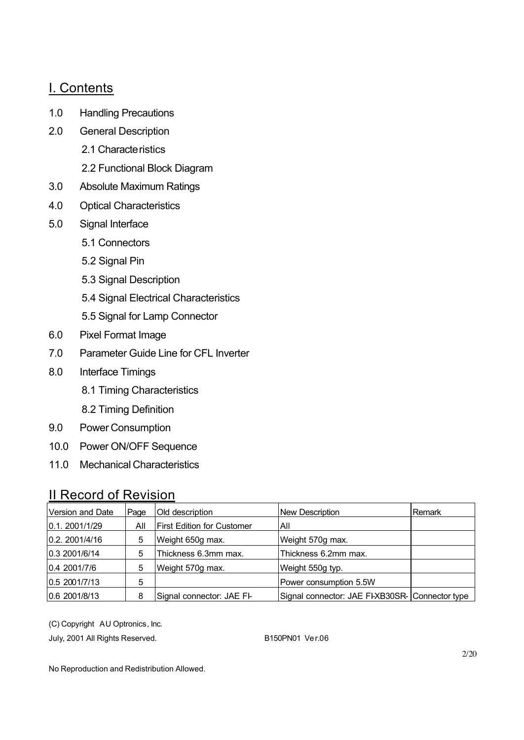#### I. Contents

- 1.0 Handling Precautions
- 2.0 General Description
	- 2.1 Characte ristics
	- 2.2 Functional Block Diagram
- 3.0 Absolute Maximum Ratings
- 4.0 Optical Characteristics
- 5.0 Signal Interface
	- 5.1 Connectors
	- 5.2 Signal Pin
	- 5.3 Signal Description
	- 5.4 Signal Electrical Characteristics
	- 5.5 Signal for Lamp Connector
- 6.0 Pixel Format Image
- 7.0 Parameter Guide Line for CFL Inverter
- 8.0 Interface Timings
	- 8.1 Timing Characteristics
	- 8.2 Timing Definition
- 9.0 Power Consumption
- 10.0 Power ON/OFF Sequence
- 11.0 Mechanical Characteristics

#### II Record of Revision

| Version and Date | Page | Old description                   | <b>New Description</b>                          | Remark |
|------------------|------|-----------------------------------|-------------------------------------------------|--------|
| 0.1.2001/1/29    | All  | <b>First Edition for Customer</b> | All                                             |        |
| 0.2. 2001/4/16   | 5    | Weight 650g max.                  | Weight 570g max.                                |        |
| 0.3 2001/6/14    | 5    | Thickness 6.3mm max.              | Thickness 6.2mm max.                            |        |
| 0.4 2001/7/6     | 5    | Weight 570g max.                  | Weight 550g typ.                                |        |
| 0.5 2001/7/13    | 5    |                                   | Power consumption 5.5W                          |        |
| 0.6 2001/8/13    | 8    | Signal connector: JAE FI-         | Signal connector: JAE FI-XB30SR- Connector type |        |

(C) Copyright AU Optronics, Inc.

July, 2001 All Rights Reserved. B150PN01 Ver.06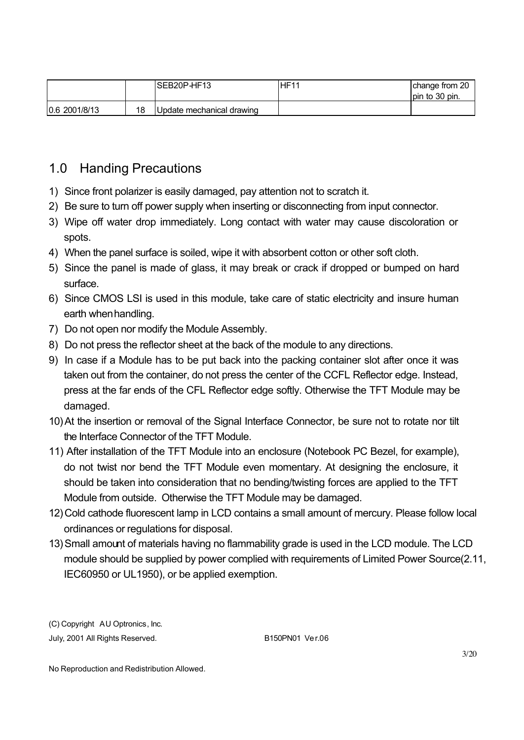|               |    | ISEB20P-HF13              | <b>HF11</b> | change from 20<br>lpin to 30 pin. |
|---------------|----|---------------------------|-------------|-----------------------------------|
| 0.6 2001/8/13 | 18 | Update mechanical drawing |             |                                   |

### 1.0 Handing Precautions

- 1) Since front polarizer is easily damaged, pay attention not to scratch it.
- 2) Be sure to turn off power supply when inserting or disconnecting from input connector.
- 3) Wipe off water drop immediately. Long contact with water may cause discoloration or spots.
- 4) When the panel surface is soiled, wipe it with absorbent cotton or other soft cloth.
- 5) Since the panel is made of glass, it may break or crack if dropped or bumped on hard surface.
- 6) Since CMOS LSI is used in this module, take care of static electricity and insure human earth when handling.
- 7) Do not open nor modify the Module Assembly.
- 8) Do not press the reflector sheet at the back of the module to any directions.
- 9) In case if a Module has to be put back into the packing container slot after once it was taken out from the container, do not press the center of the CCFL Reflector edge. Instead, press at the far ends of the CFL Reflector edge softly. Otherwise the TFT Module may be damaged.
- 10)At the insertion or removal of the Signal Interface Connector, be sure not to rotate nor tilt the Interface Connector of the TFT Module.
- 11) After installation of the TFT Module into an enclosure (Notebook PC Bezel, for example), do not twist nor bend the TFT Module even momentary. At designing the enclosure, it should be taken into consideration that no bending/twisting forces are applied to the TFT Module from outside. Otherwise the TFT Module may be damaged.
- 12)Cold cathode fluorescent lamp in LCD contains a small amount of mercury. Please follow local ordinances or regulations for disposal.
- 13)Small amount of materials having no flammability grade is used in the LCD module. The LCD module should be supplied by power complied with requirements of Limited Power Source(2.11, IEC60950 or UL1950), or be applied exemption.

(C) Copyright AU Optronics, Inc. July, 2001 All Rights Reserved. B150PN01 Ver.06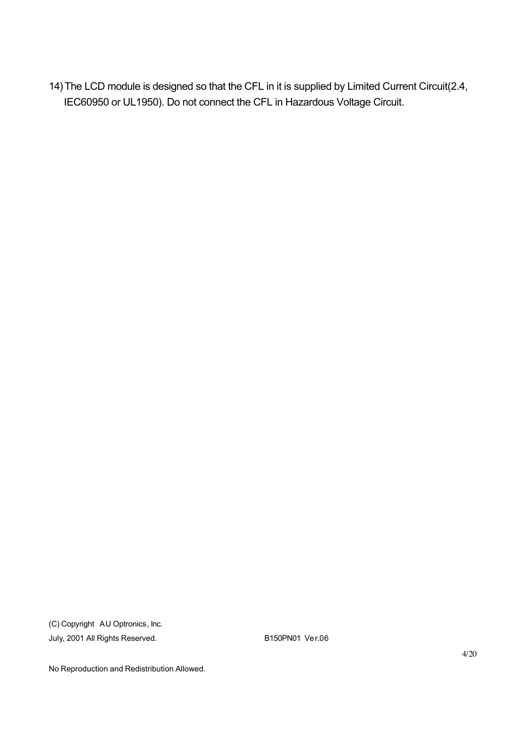14)The LCD module is designed so that the CFL in it is supplied by Limited Current Circuit(2.4, IEC60950 or UL1950). Do not connect the CFL in Hazardous Voltage Circuit.

(C) Copyright AU Optronics, Inc. July, 2001 All Rights Reserved. B150PN01 Ver.06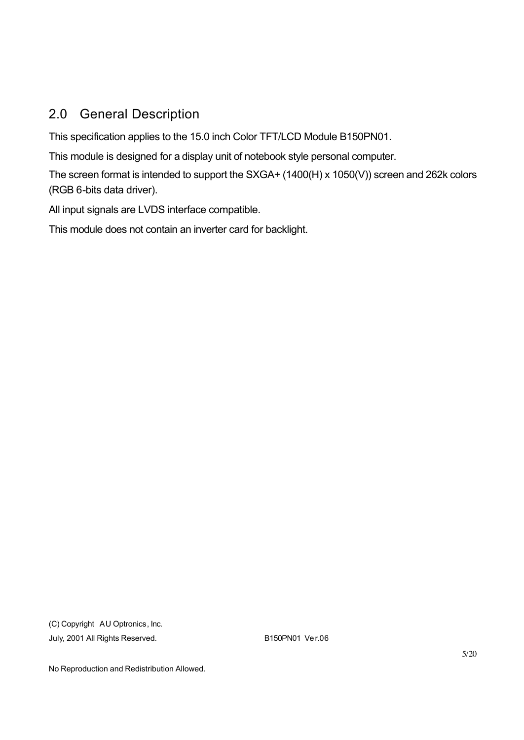### 2.0 General Description

This specification applies to the 15.0 inch Color TFT/LCD Module B150PN01.

This module is designed for a display unit of notebook style personal computer.

The screen format is intended to support the SXGA+ (1400(H) x 1050(V)) screen and 262k colors (RGB 6-bits data driver).

All input signals are LVDS interface compatible.

This module does not contain an inverter card for backlight.

(C) Copyright AU Optronics, Inc. July, 2001 All Rights Reserved. B150PN01 Ver.06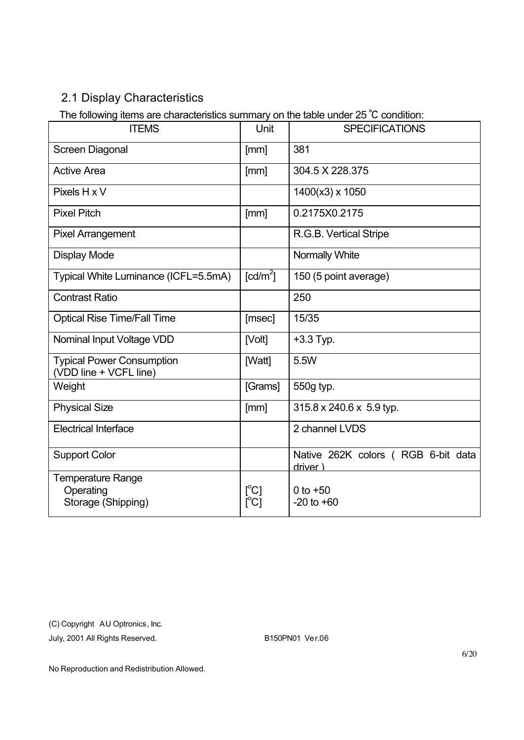### 2.1 Display Characteristics

The following items are characteristics summary on the table under 25 ℃ condition:

| <u>.</u><br><b>ITEMS</b>                                   | Unit                        | <b>SPECIFICATIONS</b>                          |
|------------------------------------------------------------|-----------------------------|------------------------------------------------|
| Screen Diagonal                                            | [mm]                        | 381                                            |
| <b>Active Area</b>                                         | [mm]                        | 304.5 X 228.375                                |
| Pixels H x V                                               |                             | 1400(x3) x 1050                                |
| <b>Pixel Pitch</b>                                         | [mm]                        | 0.2175X0.2175                                  |
| <b>Pixel Arrangement</b>                                   |                             | R.G.B. Vertical Stripe                         |
| <b>Display Mode</b>                                        |                             | Normally White                                 |
| Typical White Luminance (ICFL=5.5mA)                       | $\lceil cd/m^2 \rceil$      | 150 (5 point average)                          |
| <b>Contrast Ratio</b>                                      |                             | 250                                            |
| <b>Optical Rise Time/Fall Time</b>                         | [msec]                      | 15/35                                          |
| Nominal Input Voltage VDD                                  | [Volt]                      | $+3.3$ Typ.                                    |
| <b>Typical Power Consumption</b><br>(VDD line + VCFL line) | [Watt]                      | 5.5W                                           |
| Weight                                                     | [Grams]                     | 550g typ.                                      |
| <b>Physical Size</b>                                       | [mm]                        | $315.8 \times 240.6 \times 5.9$ typ.           |
| <b>Electrical Interface</b>                                |                             | 2 channel LVDS                                 |
| <b>Support Color</b>                                       |                             | Native 262K colors (RGB 6-bit data<br>driver ) |
| Temperature Range<br>Operating<br>Storage (Shipping)       | [°C]<br>$\Gamma^{\circ}$ C1 | 0 to $+50$<br>$-20$ to $+60$                   |

(C) Copyright AU Optronics, Inc.

July, 2001 All Rights Reserved. B150PN01 Ver.06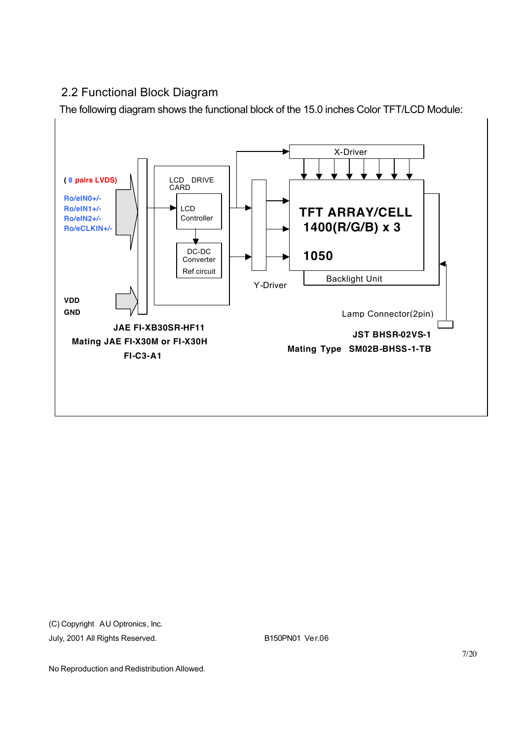#### 2.2 Functional Block Diagram

The following diagram shows the functional block of the 15.0 inches Color TFT/LCD Module:



(C) Copyright AU Optronics, Inc. July, 2001 All Rights Reserved. B150PN01 Ver.06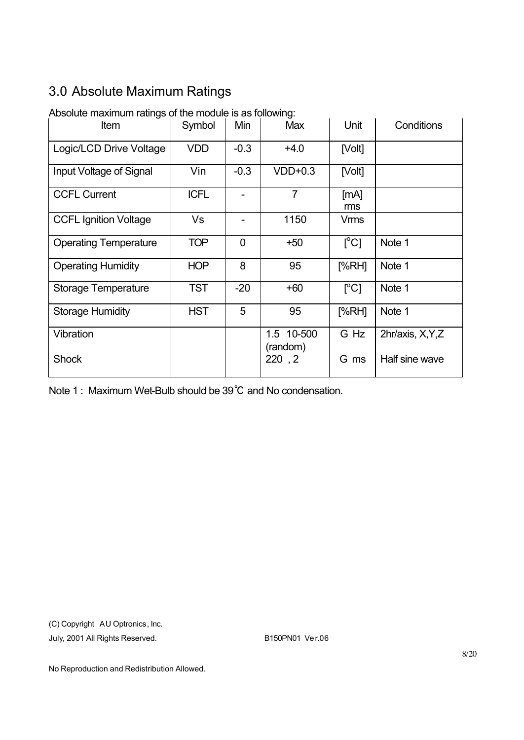### 3.0 Absolute Maximum Ratings

| Item                         | Symbol      | Min    | <b>Max</b>             | Unit                      | Conditions        |
|------------------------------|-------------|--------|------------------------|---------------------------|-------------------|
| Logic/LCD Drive Voltage      | <b>VDD</b>  | $-0.3$ | $+4.0$                 | [Volt]                    |                   |
| Input Voltage of Signal      | Vin         | $-0.3$ | $VDD+0.3$              | [Volt]                    |                   |
| <b>CCFL Current</b>          | <b>ICFL</b> |        | $\overline{7}$         | [MA]<br>ms                |                   |
| <b>CCFL Ignition Voltage</b> | Vs          |        | 1150                   | Vrms                      |                   |
| <b>Operating Temperature</b> | <b>TOP</b>  | 0      | $+50$                  | $\lceil{^{\circ}C}\rceil$ | Note 1            |
| <b>Operating Humidity</b>    | <b>HOP</b>  | 8      | 95                     | [%RH]                     | Note 1            |
| Storage Temperature          | <b>TST</b>  | $-20$  | $+60$                  | $\lceil{^{\circ}C}\rceil$ | Note 1            |
| <b>Storage Humidity</b>      | <b>HST</b>  | 5      | 95                     | [%RH]                     | Note 1            |
| Vibration                    |             |        | 1.5 10-500<br>(random) | G Hz                      | 2hr/axis, X, Y, Z |
| <b>Shock</b>                 |             |        | 220, 2                 | G ms                      | Half sine wave    |

Absolute maximum ratings of the module is as following:

Note 1 : Maximum Wet-Bulb should be 39℃ and No condensation.

(C) Copyright AU Optronics, Inc. July, 2001 All Rights Reserved. B150PN01 Ver.06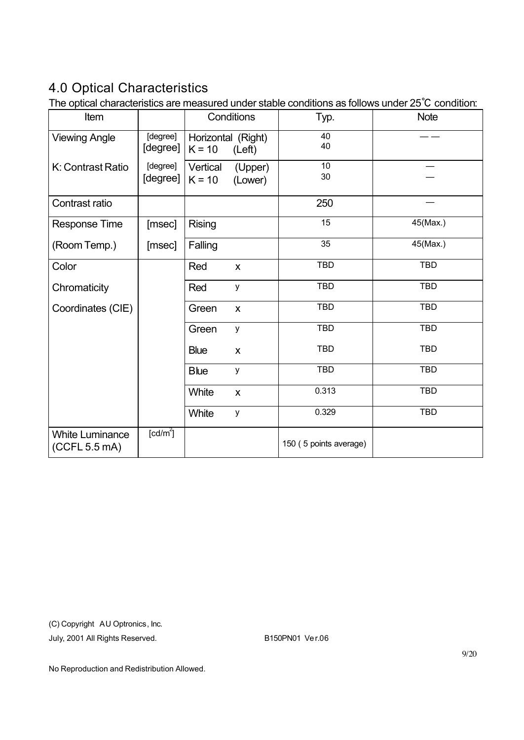## 4.0 Optical Characteristics

The optical characteristics are measured under stable conditions as follows under 25℃ condition:

| Item                                    |                      | Conditions                                 | Typ.                   | <b>Note</b> |
|-----------------------------------------|----------------------|--------------------------------------------|------------------------|-------------|
| <b>Viewing Angle</b>                    | [degree]<br>[degree] | Horizontal (Right)<br>$K = 10$<br>(Left)   | 40<br>40               |             |
| K: Contrast Ratio                       | [degree]<br>[degree] | Vertical<br>(Upper)<br>$K = 10$<br>(Lower) | 10<br>30               |             |
| Contrast ratio                          |                      |                                            | 250                    |             |
| <b>Response Time</b>                    | [msec]               | <b>Rising</b>                              | 15                     | 45(Max.)    |
| (Room Temp.)                            | [msec]               | Falling                                    | 35                     | 45(Max.)    |
| Color                                   |                      | Red<br>X                                   | <b>TBD</b>             | <b>TBD</b>  |
| Chromaticity                            |                      | Red<br>y                                   | <b>TBD</b>             | <b>TBD</b>  |
| Coordinates (CIE)                       |                      | Green<br>$\mathsf{x}$                      | <b>TBD</b>             | <b>TBD</b>  |
|                                         |                      | Green<br>y                                 | <b>TBD</b>             | <b>TBD</b>  |
|                                         |                      | <b>Blue</b><br>X                           | <b>TBD</b>             | <b>TBD</b>  |
|                                         |                      | <b>Blue</b><br>у                           | <b>TBD</b>             | <b>TBD</b>  |
|                                         |                      | White<br>X                                 | 0.313                  | <b>TBD</b>  |
|                                         |                      | White<br>у                                 | 0.329                  | <b>TBD</b>  |
| <b>White Luminance</b><br>(CCFL 5.5 mA) | [cd/m <sup>2</sup> ] |                                            | 150 (5 points average) |             |

(C) Copyright AU Optronics, Inc.

July, 2001 All Rights Reserved. B150PN01 Ver.06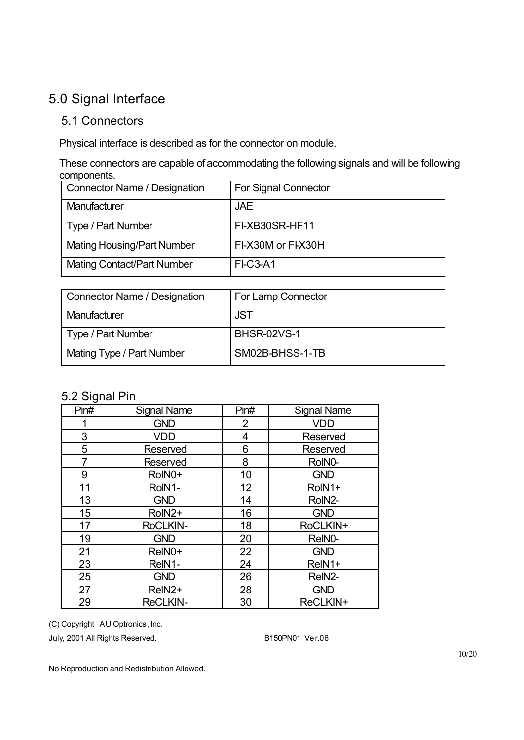### 5.0 Signal Interface

#### 5.1 Connectors

Physical interface is described as for the connector on module.

These connectors are capable of accommodating the following signals and will be following components.

| <b>Connector Name / Designation</b> | <b>For Signal Connector</b> |
|-------------------------------------|-----------------------------|
| Manufacturer                        | <b>JAE</b>                  |
| Type / Part Number                  | FI-XB30SR-HF11              |
| <b>Mating Housing/Part Number</b>   | FI-X30M or FI-X30H          |
| <b>Mating Contact/Part Number</b>   | FI-C3-A1                    |

| <b>Connector Name / Designation</b> | For Lamp Connector |
|-------------------------------------|--------------------|
| Manufacturer                        | <b>JST</b>         |
| Type / Part Number                  | <b>BHSR-02VS-1</b> |
| Mating Type / Part Number           | SM02B-BHSS-1-TB    |

#### 5.2 Signal Pin

| Pin# | <b>Signal Name</b> | Pin#           | <b>Signal Name</b> |
|------|--------------------|----------------|--------------------|
|      | <b>GND</b>         | $\overline{2}$ | <b>VDD</b>         |
| 3    | <b>VDD</b>         | 4              | Reserved           |
| 5    | Reserved           | 6              | Reserved           |
| 7    | <b>Reserved</b>    | 8              | RoIN0-             |
| 9    | RoIN0+             | 10             | <b>GND</b>         |
| 11   | RoIN1-             | 12             | RoIN1+             |
| 13   | <b>GND</b>         | 14             | RoIN2-             |
| 15   | RoIN2+             | 16             | <b>GND</b>         |
| 17   | RoCLKIN-           | 18             | RoCLKIN+           |
| 19   | <b>GND</b>         | 20             | ReINO-             |
| 21   | ReIN0+             | 22             | <b>GND</b>         |
| 23   | ReIN1-             | 24             | ReIN1+             |
| 25   | <b>GND</b>         | 26             | ReIN2-             |
| 27   | ReIN <sub>2+</sub> | 28             | <b>GND</b>         |
| 29   | <b>ReCLKIN-</b>    | 30             | ReCLKIN+           |

(C) Copyright AU Optronics, Inc.

July, 2001 All Rights Reserved. B150PN01 Ver.06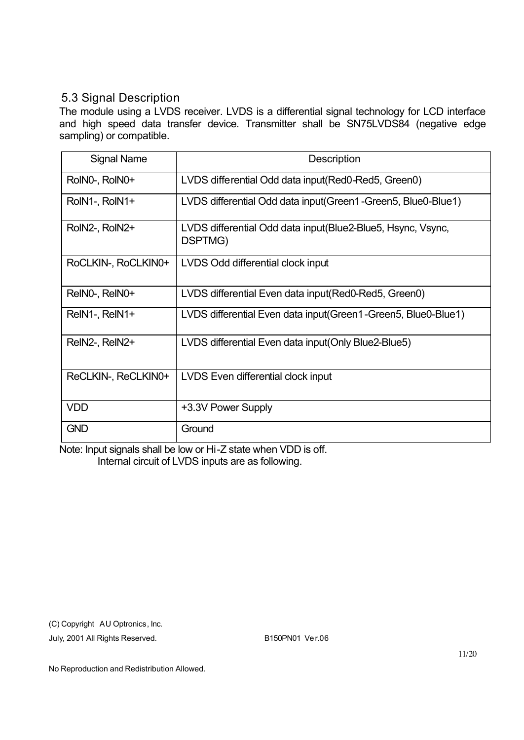#### 5.3 Signal Description

The module using a LVDS receiver. LVDS is a differential signal technology for LCD interface and high speed data transfer device. Transmitter shall be SN75LVDS84 (negative edge sampling) or compatible.

| <b>Signal Name</b>  | Description                                                               |
|---------------------|---------------------------------------------------------------------------|
| RoIN0-, RoIN0+      | LVDS differential Odd data input (Red0-Red5, Green0)                      |
| RoIN1-, RoIN1+      | LVDS differential Odd data input (Green1-Green5, Blue0-Blue1)             |
| RoIN2-, RoIN2+      | LVDS differential Odd data input (Blue 2-Blue 5, Hsync, Vsync,<br>DSPTMG) |
| RoCLKIN-, RoCLKIN0+ | LVDS Odd differential clock input                                         |
| ReINO-, ReINO+      | LVDS differential Even data input (Red0-Red5, Green0)                     |
| ReIN1-, ReIN1+      | LVDS differential Even data input (Green1-Green5, Blue0-Blue1)            |
| RelN2-, RelN2+      | LVDS differential Even data input (Only Blue2-Blue5)                      |
| ReCLKIN-, ReCLKIN0+ | LVDS Even differential clock input                                        |
| <b>VDD</b>          | +3.3V Power Supply                                                        |
| <b>GND</b>          | Ground                                                                    |

Note: Input signals shall be low or Hi-Z state when VDD is off. Internal circuit of LVDS inputs are as following.

(C) Copyright AU Optronics, Inc.

July, 2001 All Rights Reserved. B150PN01 Ver.06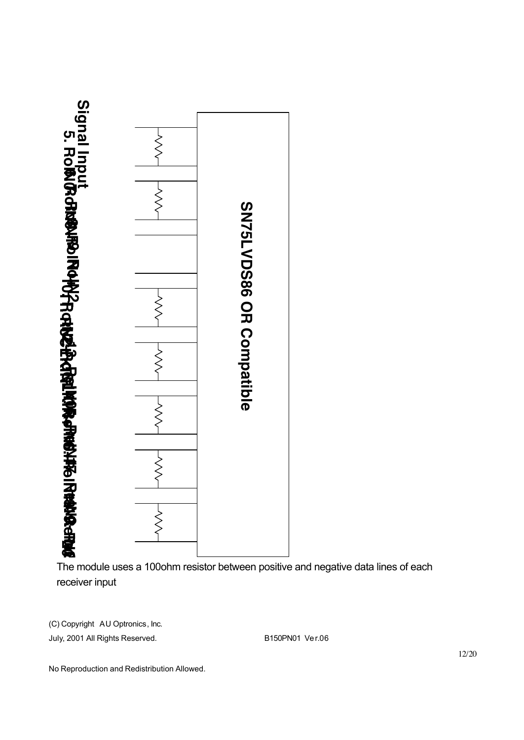

The module uses a 100ohm resistor between positive and negative data lines of each receiver input

(C) Copyright AU Optronics, Inc.

July, 2001 All Rights Reserved. B150PN01 Ver.06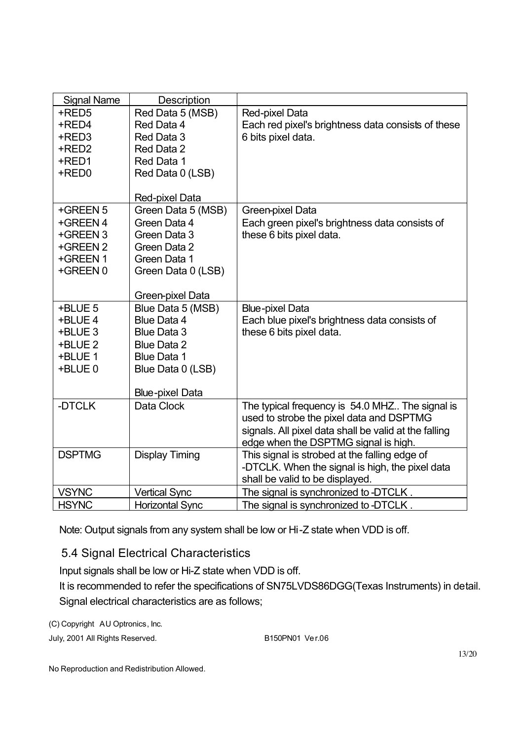| <b>Signal Name</b> | Description                      |                                                                           |
|--------------------|----------------------------------|---------------------------------------------------------------------------|
| +RED5              | Red Data 5 (MSB)                 | Red-pixel Data                                                            |
| +RED4              | Red Data 4                       | Each red pixel's brightness data consists of these                        |
| +RED3              | Red Data 3                       | 6 bits pixel data.                                                        |
| +RED2              | Red Data 2                       |                                                                           |
| +RED1              | Red Data 1                       |                                                                           |
| +RED0              | Red Data 0 (LSB)                 |                                                                           |
|                    |                                  |                                                                           |
|                    | Red-pixel Data                   |                                                                           |
| +GREEN 5           | Green Data 5 (MSB)               | Green-pixel Data                                                          |
| +GREEN 4           | Green Data 4                     | Each green pixel's brightness data consists of                            |
| +GREEN 3           | Green Data 3                     | these 6 bits pixel data.                                                  |
| +GREEN 2           | Green Data 2                     |                                                                           |
| +GREEN 1           | Green Data 1                     |                                                                           |
| +GREEN 0           | Green Data 0 (LSB)               |                                                                           |
|                    |                                  |                                                                           |
|                    | Green-pixel Data                 |                                                                           |
| +BLUE 5            | Blue Data 5 (MSB)<br>Blue Data 4 | <b>Blue-pixel Data</b>                                                    |
| +BLUE 4<br>+BLUE 3 | <b>Blue Data 3</b>               | Each blue pixel's brightness data consists of<br>these 6 bits pixel data. |
| +BLUE 2            | <b>Blue Data 2</b>               |                                                                           |
| +BLUE 1            | <b>Blue Data 1</b>               |                                                                           |
| +BLUE 0            | Blue Data 0 (LSB)                |                                                                           |
|                    |                                  |                                                                           |
|                    | <b>Blue-pixel Data</b>           |                                                                           |
| -DTCLK             | Data Clock                       | The typical frequency is 54.0 MHZ The signal is                           |
|                    |                                  | used to strobe the pixel data and DSPTMG                                  |
|                    |                                  | signals. All pixel data shall be valid at the falling                     |
|                    |                                  | edge when the DSPTMG signal is high.                                      |
| <b>DSPTMG</b>      | <b>Display Timing</b>            | This signal is strobed at the falling edge of                             |
|                    |                                  | -DTCLK. When the signal is high, the pixel data                           |
|                    |                                  | shall be valid to be displayed.                                           |
| <b>VSYNC</b>       | <b>Vertical Sync</b>             | The signal is synchronized to -DTCLK.                                     |
| <b>HSYNC</b>       | <b>Horizontal Sync</b>           | The signal is synchronized to -DTCLK                                      |

Note: Output signals from any system shall be low or Hi-Z state when VDD is off.

#### 5.4 Signal Electrical Characteristics

Input signals shall be low or Hi-Z state when VDD is off.

It is recommended to refer the specifications of SN75LVDS86DGG(Texas Instruments) in detail. Signal electrical characteristics are as follows;

(C) Copyright AU Optronics, Inc.

July, 2001 All Rights Reserved. B150PN01 Ver.06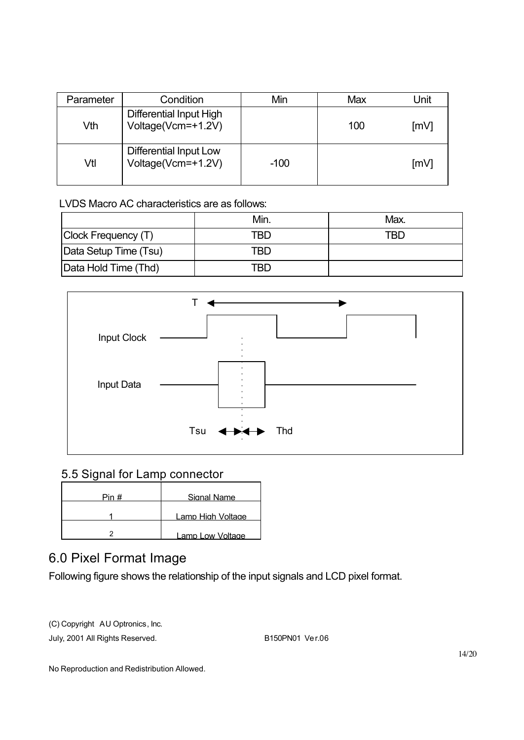| Parameter | Condition                                            | Min    | Max | Unit |
|-----------|------------------------------------------------------|--------|-----|------|
| Vth       | <b>Differential Input High</b><br>Voltage(Vcm=+1.2V) |        | 100 | [mV] |
| Vtl       | Differential Input Low<br>Voltage(Vcm=+1.2V)         | $-100$ |     | ∫mV  |

LVDS Macro AC characteristics are as follows:

|                       | Min | Max. |
|-----------------------|-----|------|
| Clock Frequency (T)   | TRD | TRD  |
| Data Setup Time (Tsu) | TBD |      |
| Data Hold Time (Thd)  | TRD |      |



#### 5.5 Signal for Lamp connector

| Pin # | Signal Name       |
|-------|-------------------|
|       | Lamn High Voltage |
|       | Lamp Low Voltage  |

### 6.0 Pixel Format Image

Following figure shows the relationship of the input signals and LCD pixel format.

(C) Copyright AU Optronics, Inc.

July, 2001 All Rights Reserved. B150PN01 Ver.06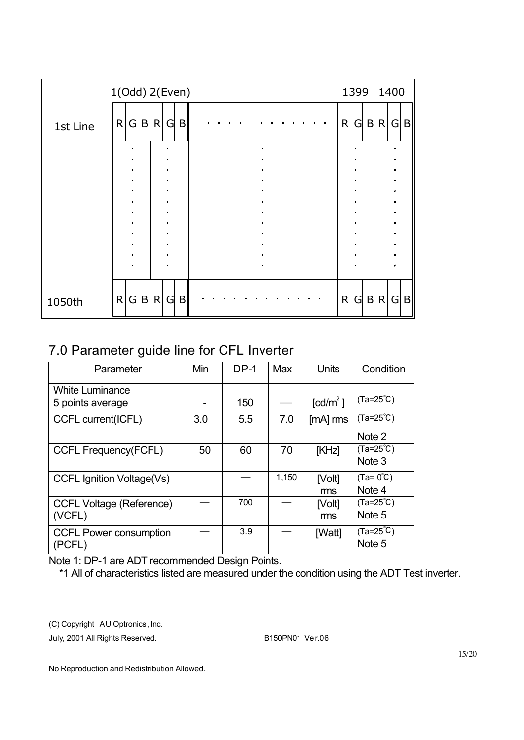| 1(Odd) 2(Even) |                   |                   |                                  |   |                     | 1399 1400 |   |  |         |                                  |              |
|----------------|-------------------|-------------------|----------------------------------|---|---------------------|-----------|---|--|---------|----------------------------------|--------------|
| 1st Line       | R G B R           |                   | G                                | B |                     | R         |   |  | $G$ B R |                                  | G B          |
|                | ٠<br>п.           |                   | п<br>$\blacksquare$              |   | $\blacksquare$<br>п |           |   |  |         | $\blacksquare$                   |              |
|                | ٠                 |                   | $\blacksquare$                   |   | $\blacksquare$      |           |   |  |         | $\blacksquare$                   |              |
|                | ٠                 |                   | $\blacksquare$                   |   | $\blacksquare$      |           |   |  |         | $\blacksquare$                   |              |
|                | ٠                 |                   | $\blacksquare$                   |   | $\blacksquare$      |           |   |  |         | $\epsilon$                       |              |
|                | $\blacksquare$    |                   | $\blacksquare$                   |   | $\blacksquare$      |           |   |  |         | $\blacksquare$                   |              |
|                | ٠<br>٠            |                   | $\blacksquare$<br>$\blacksquare$ |   |                     |           |   |  |         | $\blacksquare$<br>$\blacksquare$ |              |
|                | ٠                 |                   | $\blacksquare$                   |   | $\blacksquare$      |           |   |  |         | $\blacksquare$                   |              |
|                | $\blacksquare$    |                   | $\blacksquare$                   |   | $\blacksquare$      |           |   |  |         | $\blacksquare$                   |              |
|                | $\blacksquare$    |                   | $\blacksquare$                   |   | $\blacksquare$      |           |   |  |         |                                  |              |
|                |                   |                   |                                  |   | $\blacksquare$      |           |   |  |         |                                  |              |
| 1050th         | $\mathsf{R}$<br>G | B<br>$\mathsf{R}$ | G                                | B |                     | R         | G |  | B R     | $\overline{G}$                   | $\mathsf{B}$ |

### 7.0 Parameter guide line for CFL Inverter

| Parameter                                  | Min | $DP-1$ | Max   | <b>Units</b>                        | Condition                     |
|--------------------------------------------|-----|--------|-------|-------------------------------------|-------------------------------|
| <b>White Luminance</b><br>5 points average |     | 150    |       | $\lceil$ cd/m <sup>2</sup> $\rceil$ | $(Ta=25^{\circ}C)$            |
| <b>CCFL current(ICFL)</b>                  | 3.0 | 5.5    | 7.0   | $[mA]$ rms                          | $(Ta=25^{\circ}C)$<br>Note 2  |
| <b>CCFL Frequency(FCFL)</b>                | 50  | 60     | 70    | [KHz]                               | $(Ta=25^{\circ}C)$<br>Note 3  |
| <b>CCFL Ignition Voltage(Vs)</b>           |     |        | 1,150 | [Volt]<br>ms                        | $(Ta = 0^{\circ}C)$<br>Note 4 |
| <b>CCFL Voltage (Reference)</b><br>(VCFL)  |     | 700    |       | [Volt]<br>ms                        | $(Ta=25^{\circ}C)$<br>Note 5  |
| <b>CCFL Power consumption</b><br>(PCFL)    |     | 3.9    |       | [Watt]                              | $(Ta=25^{\circ}C)$<br>Note 5  |

Note 1: DP-1 are ADT recommended Design Points.

\*1 All of characteristics listed are measured under the condition using the ADT Test inverter.

(C) Copyright AU Optronics, Inc.

July, 2001 All Rights Reserved. B150PN01 Ver.06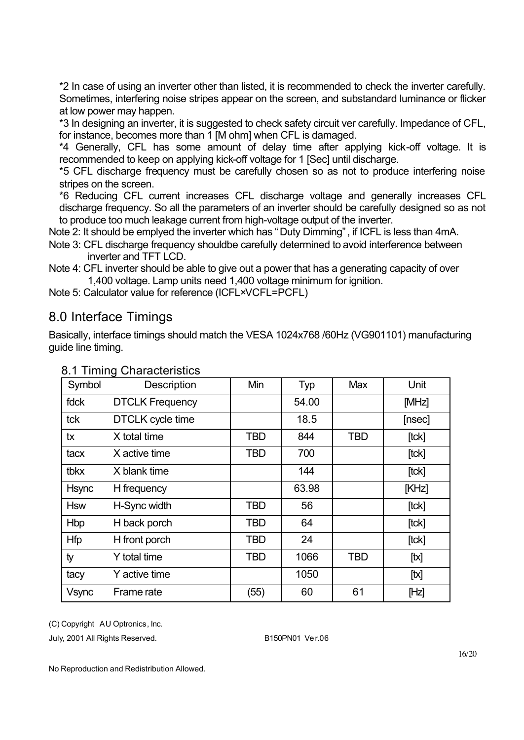\*2 In case of using an inverter other than listed, it is recommended to check the inverter carefully. Sometimes, interfering noise stripes appear on the screen, and substandard luminance or flicker at low power may happen.

\*3 In designing an inverter, it is suggested to check safety circuit ver carefully. Impedance of CFL, for instance, becomes more than 1 [M ohm] when CFL is damaged.

\*4 Generally, CFL has some amount of delay time after applying kick-off voltage. It is recommended to keep on applying kick-off voltage for 1 [Sec] until discharge.

\*5 CFL discharge frequency must be carefully chosen so as not to produce interfering noise stripes on the screen.

\*6 Reducing CFL current increases CFL discharge voltage and generally increases CFL discharge frequency. So all the parameters of an inverter should be carefully designed so as not to produce too much leakage current from high-voltage output of the inverter.

Note 2: It should be emplyed the inverter which has "Duty Dimming", if ICFL is less than 4mA. Note 3: CFL discharge frequency shouldbe carefully determined to avoid interference between

- inverter and TFT LCD.
- Note 4: CFL inverter should be able to give out a power that has a generating capacity of over 1,400 voltage. Lamp units need 1,400 voltage minimum for ignition.

Note 5: Calculator value for reference (ICFL×VCFL=PCFL)

### 8.0 Interface Timings

Basically, interface timings should match the VESA 1024x768 /60Hz (VG901101) manufacturing guide line timing.

| Symbol       | Description            | Min        | Typ   | <b>Max</b> | Unit   |
|--------------|------------------------|------------|-------|------------|--------|
| fdck         | <b>DTCLK Frequency</b> |            | 54.00 |            | [MHz]  |
| tck          | DTCLK cycle time       |            | 18.5  |            | [nsec] |
| tx           | X total time           | TBD        | 844   | <b>TBD</b> | [tck]  |
| tacx         | X active time          | TBD        | 700   |            | [tck]  |
| tbkx         | X blank time           |            | 144   |            | [tck]  |
| <b>Hsync</b> | H frequency            |            | 63.98 |            | [KHz]  |
| <b>Hsw</b>   | H-Sync width           | <b>TBD</b> | 56    |            | [tck]  |
| <b>Hbp</b>   | H back porch           | TBD        | 64    |            | [tck]  |
| <b>Hfp</b>   | H front porch          | <b>TBD</b> | 24    |            | [tck]  |
| ty           | Y total time           | TBD        | 1066  | <b>TBD</b> | [tx]   |
| tacy         | Y active time          |            | 1050  |            | [tx]   |
| <b>Vsync</b> | Frame rate             | (55)       | 60    | 61         | [Hz]   |

8.1 Timing Characteristics

(C) Copyright AU Optronics, Inc.

July, 2001 All Rights Reserved. B150PN01 Ver.06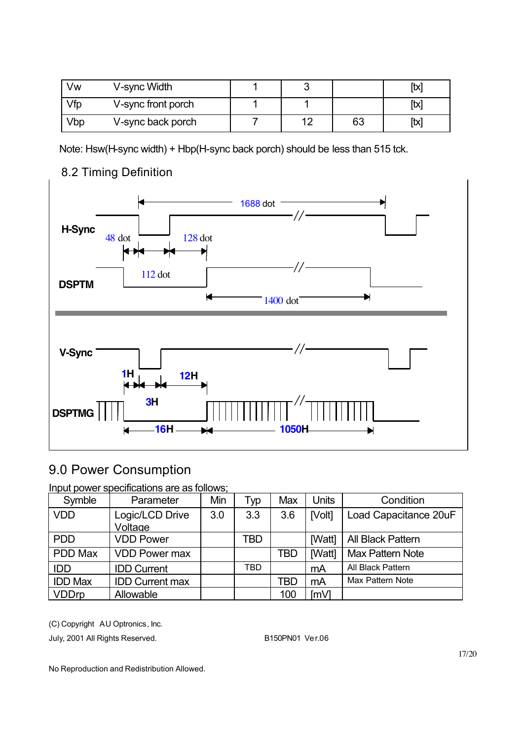| Vw  | V-sync Width       |  |    | [tx  |
|-----|--------------------|--|----|------|
| Vfp | V-sync front porch |  |    | [tx] |
| Vbp | V-sync back porch  |  | 63 | [tx] |

Note: Hsw(H-sync width) + Hbp(H-sync back porch) should be less than 515 tck.



### 8.2 Timing Definition

# 9.0 Power Consumption

Input power specifications are as follows;

| Symble         | Parameter                  | Min | Typ | Max | Units           | Condition             |
|----------------|----------------------------|-----|-----|-----|-----------------|-----------------------|
| <b>VDD</b>     | Logic/LCD Drive<br>Voltage | 3.0 | 3.3 | 3.6 | [Volt]          | Load Capacitance 20uF |
|                |                            |     |     |     |                 |                       |
| <b>PDD</b>     | <b>VDD Power</b>           |     | TBD |     | [Watt]          | All Black Pattern     |
| PDD Max        | <b>VDD Power max</b>       |     |     | TBD | [Watt]          | Max Pattern Note      |
| <b>IDD</b>     | <b>IDD Current</b>         |     | TBD |     | mA              | All Black Pattern     |
| <b>IDD Max</b> | <b>IDD Current max</b>     |     |     | TBD | mA              | Max Pattern Note      |
| <b>VDDrp</b>   | Allowable                  |     |     | 100 | Im <sub>1</sub> |                       |

(C) Copyright AU Optronics, Inc.

July, 2001 All Rights Reserved. B150PN01 Ver.06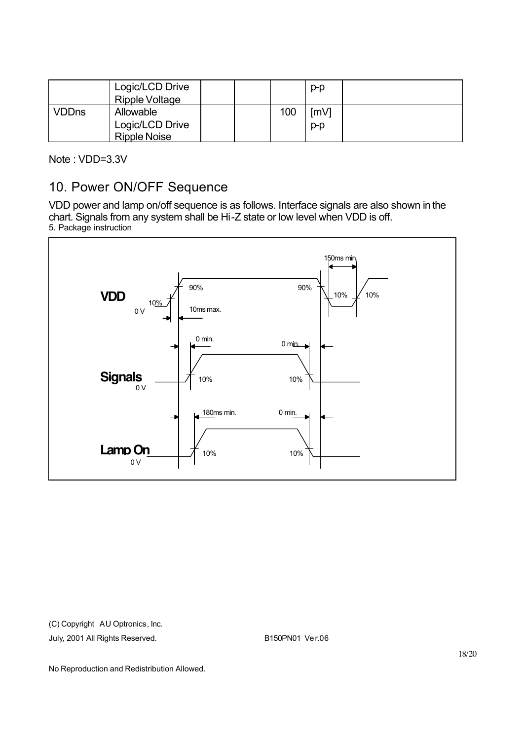|              | Logic/LCD Drive<br>Ripple Voltage                   |  |     | $p-p$         |  |
|--------------|-----------------------------------------------------|--|-----|---------------|--|
| <b>VDDns</b> | Allowable<br>Logic/LCD Drive<br><b>Ripple Noise</b> |  | 100 | [mV]<br>$p-p$ |  |

Note : VDD=3.3V

#### 10. Power ON/OFF Sequence

VDD power and lamp on/off sequence is as follows. Interface signals are also shown in the chart. Signals from any system shall be Hi-Z state or low level when VDD is off. 5. Package instruction



(C) Copyright AU Optronics, Inc.

July, 2001 All Rights Reserved. B150PN01 Ver.06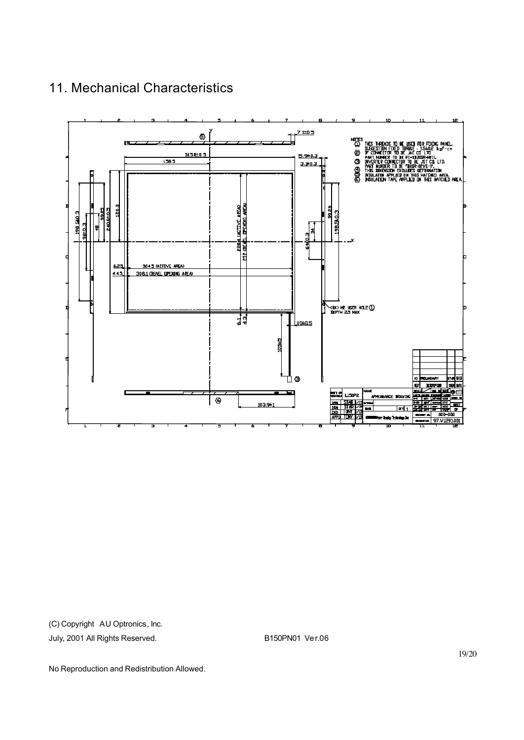

### 11. Mechanical Characteristics

(C) Copyright AU Optronics, Inc.

July, 2001 All Rights Reserved. B150PN01 Ver.06